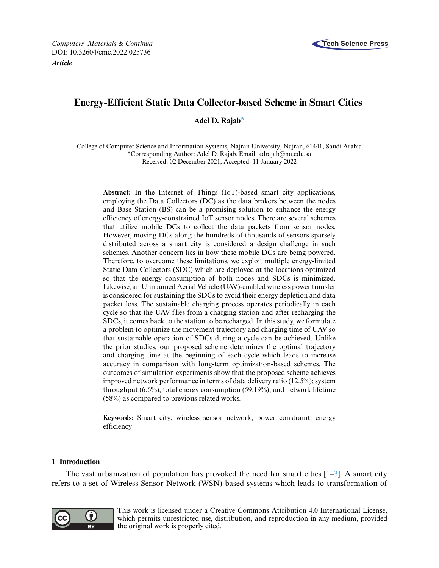



# **Energy-Efficient Static Data Collector-based Scheme in Smart Cities**

**Adel D. Raja[b\\*](#page-0-0)**

College of Computer Science and Information Systems, Najran University, Najran, 61441, Saudi Arabia \*Corresponding Author: Adel D. Rajab. Email: [adrajab@nu.edu.sa](mailto:adrajab@nu.edu.sa) Received: 02 December 2021; Accepted: 11 January 2022

<span id="page-0-0"></span>**Abstract:** In the Internet of Things (IoT)-based smart city applications, employing the Data Collectors (DC) as the data brokers between the nodes and Base Station (BS) can be a promising solution to enhance the energy efficiency of energy-constrained IoT sensor nodes. There are several schemes that utilize mobile DCs to collect the data packets from sensor nodes. However, moving DCs along the hundreds of thousands of sensors sparsely distributed across a smart city is considered a design challenge in such schemes. Another concern lies in how these mobile DCs are being powered. Therefore, to overcome these limitations, we exploit multiple energy-limited Static Data Collectors (SDC) which are deployed at the locations optimized so that the energy consumption of both nodes and SDCs is minimized. Likewise, an Unmanned Aerial Vehicle (UAV)-enabled wireless power transfer is considered for sustaining the SDCs to avoid their energy depletion and data packet loss. The sustainable charging process operates periodically in each cycle so that the UAV flies from a charging station and after recharging the SDCs, it comes back to the station to be recharged. In this study, we formulate a problem to optimize the movement trajectory and charging time of UAV so that sustainable operation of SDCs during a cycle can be achieved. Unlike the prior studies, our proposed scheme determines the optimal trajectory and charging time at the beginning of each cycle which leads to increase accuracy in comparison with long-term optimization-based schemes. The outcomes of simulation experiments show that the proposed scheme achieves improved network performance in terms of data delivery ratio (12.5%); system throughput (6.6%); total energy consumption (59.19%); and network lifetime (58%) as compared to previous related works.

**Keywords:** Smart city; wireless sensor network; power constraint; energy efficiency

## **1 Introduction**

The vast urbanization of population has provoked the need for smart cities  $[1-3]$  $[1-3]$ . A smart city refers to a set of Wireless Sensor Network (WSN)-based systems which leads to transformation of



This work is licensed under a Creative Commons Attribution 4.0 International License, which permits unrestricted use, distribution, and reproduction in any medium, provided the original work is properly cited.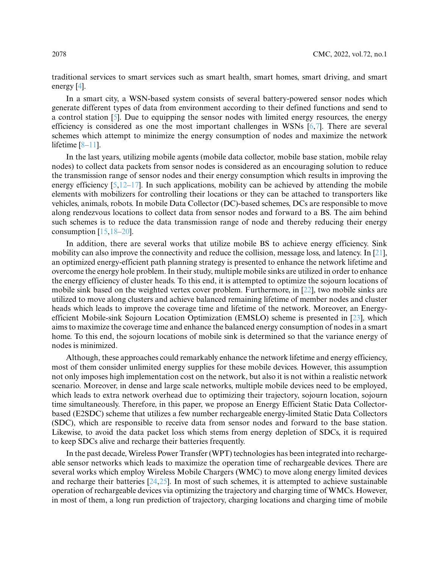traditional services to smart services such as smart health, smart homes, smart driving, and smart energy [\[4\]](#page-14-2).

In a smart city, a WSN-based system consists of several battery-powered sensor nodes which generate different types of data from environment according to their defined functions and send to a control station [\[5\]](#page-14-3). Due to equipping the sensor nodes with limited energy resources, the energy efficiency is considered as one the most important challenges in WSNs [\[6,](#page-14-4)[7\]](#page-14-5). There are several schemes which attempt to minimize the energy consumption of nodes and maximize the network lifetime [\[8](#page-14-6)[–11\]](#page-14-7).

In the last years, utilizing mobile agents (mobile data collector, mobile base station, mobile relay nodes) to collect data packets from sensor nodes is considered as an encouraging solution to reduce the transmission range of sensor nodes and their energy consumption which results in improving the energy efficiency  $[5,12-17]$  $[5,12-17]$  $[5,12-17]$ . In such applications, mobility can be achieved by attending the mobile elements with mobilizers for controlling their locations or they can be attached to transporters like vehicles, animals, robots. In mobile Data Collector (DC)-based schemes, DCs are responsible to move along rendezvous locations to collect data from sensor nodes and forward to a BS. The aim behind such schemes is to reduce the data transmission range of node and thereby reducing their energy consumption [\[15](#page-14-10)[,18–](#page-14-11)[20\]](#page-15-0).

In addition, there are several works that utilize mobile BS to achieve energy efficiency. Sink mobility can also improve the connectivity and reduce the collision, message loss, and latency. In [\[21\]](#page-15-1), an optimized energy-efficient path planning strategy is presented to enhance the network lifetime and overcome the energy hole problem. In their study, multiple mobile sinks are utilized in order to enhance the energy efficiency of cluster heads. To this end, it is attempted to optimize the sojourn locations of mobile sink based on the weighted vertex cover problem. Furthermore, in [\[22\]](#page-15-2), two mobile sinks are utilized to move along clusters and achieve balanced remaining lifetime of member nodes and cluster heads which leads to improve the coverage time and lifetime of the network. Moreover, an Energyefficient Mobile-sink Sojourn Location Optimization (EMSLO) scheme is presented in [\[23\]](#page-15-3), which aims to maximize the coverage time and enhance the balanced energy consumption of nodes in a smart home. To this end, the sojourn locations of mobile sink is determined so that the variance energy of nodes is minimized.

Although, these approaches could remarkably enhance the network lifetime and energy efficiency, most of them consider unlimited energy supplies for these mobile devices. However, this assumption not only imposes high implementation cost on the network, but also it is not within a realistic network scenario. Moreover, in dense and large scale networks, multiple mobile devices need to be employed, which leads to extra network overhead due to optimizing their trajectory, sojourn location, sojourn time simultaneously. Therefore, in this paper, we propose an Energy Efficient Static Data Collectorbased (E2SDC) scheme that utilizes a few number rechargeable energy-limited Static Data Collectors (SDC), which are responsible to receive data from sensor nodes and forward to the base station. Likewise, to avoid the data packet loss which stems from energy depletion of SDCs, it is required to keep SDCs alive and recharge their batteries frequently.

In the past decade, Wireless Power Transfer (WPT) technologies has been integrated into rechargeable sensor networks which leads to maximize the operation time of rechargeable devices. There are several works which employ Wireless Mobile Chargers (WMC) to move along energy limited devices and recharge their batteries [\[24](#page-15-4)[,25\]](#page-15-5). In most of such schemes, it is attempted to achieve sustainable operation of rechargeable devices via optimizing the trajectory and charging time of WMCs. However, in most of them, a long run prediction of trajectory, charging locations and charging time of mobile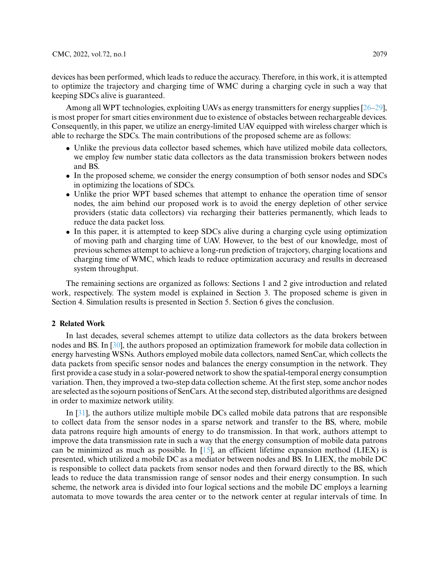devices has been performed, which leads to reduce the accuracy. Therefore, in this work, it is attempted to optimize the trajectory and charging time of WMC during a charging cycle in such a way that keeping SDCs alive is guaranteed.

Among all WPT technologies, exploiting UAVs as energy transmitters for energy supplies [\[26–](#page-15-6)[29\]](#page-15-7). is most proper for smart cities environment due to existence of obstacles between rechargeable devices. Consequently, in this paper, we utilize an energy-limited UAV equipped with wireless charger which is able to recharge the SDCs. The main contributions of the proposed scheme are as follows:

- Unlike the previous data collector based schemes, which have utilized mobile data collectors, we employ few number static data collectors as the data transmission brokers between nodes and BS.
- In the proposed scheme, we consider the energy consumption of both sensor nodes and SDCs in optimizing the locations of SDCs.
- Unlike the prior WPT based schemes that attempt to enhance the operation time of sensor nodes, the aim behind our proposed work is to avoid the energy depletion of other service providers (static data collectors) via recharging their batteries permanently, which leads to reduce the data packet loss.
- In this paper, it is attempted to keep SDCs alive during a charging cycle using optimization of moving path and charging time of UAV. However, to the best of our knowledge, most of previous schemes attempt to achieve a long-run prediction of trajectory, charging locations and charging time of WMC, which leads to reduce optimization accuracy and results in decreased system throughput.

The remaining sections are organized as follows: Sections 1 and 2 give introduction and related work, respectively. The system model is explained in Section 3. The proposed scheme is given in Section 4. Simulation results is presented in Section 5. Section 6 gives the conclusion.

### **2 Related Work**

In last decades, several schemes attempt to utilize data collectors as the data brokers between nodes and BS. In [\[30\]](#page-15-8), the authors proposed an optimization framework for mobile data collection in energy harvesting WSNs. Authors employed mobile data collectors, named SenCar, which collects the data packets from specific sensor nodes and balances the energy consumption in the network. They first provide a case study in a solar-powered network to show the spatial-temporal energy consumption variation. Then, they improved a two-step data collection scheme. At the first step, some anchor nodes are selected as the sojourn positions of SenCars. At the second step, distributed algorithms are designed in order to maximize network utility.

In [\[31\]](#page-15-9), the authors utilize multiple mobile DCs called mobile data patrons that are responsible to collect data from the sensor nodes in a sparse network and transfer to the BS, where, mobile data patrons require high amounts of energy to do transmission. In that work, authors attempt to improve the data transmission rate in such a way that the energy consumption of mobile data patrons can be minimized as much as possible. In [\[15\]](#page-14-10), an efficient lifetime expansion method (LIEX) is presented, which utilized a mobile DC as a mediator between nodes and BS. In LIEX, the mobile DC is responsible to collect data packets from sensor nodes and then forward directly to the BS, which leads to reduce the data transmission range of sensor nodes and their energy consumption. In such scheme, the network area is divided into four logical sections and the mobile DC employs a learning automata to move towards the area center or to the network center at regular intervals of time. In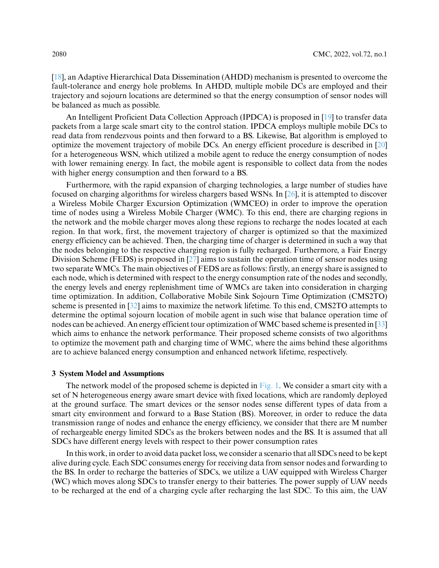[\[18\]](#page-14-11), an Adaptive Hierarchical Data Dissemination (AHDD) mechanism is presented to overcome the fault-tolerance and energy hole problems. In AHDD, multiple mobile DCs are employed and their trajectory and sojourn locations are determined so that the energy consumption of sensor nodes will be balanced as much as possible.

An Intelligent Proficient Data Collection Approach (IPDCA) is proposed in [\[19\]](#page-14-12) to transfer data packets from a large scale smart city to the control station. IPDCA employs multiple mobile DCs to read data from rendezvous points and then forward to a BS. Likewise, Bat algorithm is employed to optimize the movement trajectory of mobile DCs. An energy efficient procedure is described in [\[20\]](#page-15-0) for a heterogeneous WSN, which utilized a mobile agent to reduce the energy consumption of nodes with lower remaining energy. In fact, the mobile agent is responsible to collect data from the nodes with higher energy consumption and then forward to a BS.

Furthermore, with the rapid expansion of charging technologies, a large number of studies have focused on charging algorithms for wireless chargers based WSNs. In [\[26\]](#page-15-6), it is attempted to discover a Wireless Mobile Charger Excursion Optimization (WMCEO) in order to improve the operation time of nodes using a Wireless Mobile Charger (WMC). To this end, there are charging regions in the network and the mobile charger moves along these regions to recharge the nodes located at each region. In that work, first, the movement trajectory of charger is optimized so that the maximized energy efficiency can be achieved. Then, the charging time of charger is determined in such a way that the nodes belonging to the respective charging region is fully recharged. Furthermore, a Fair Energy Division Scheme (FEDS) is proposed in [\[27\]](#page-15-10) aims to sustain the operation time of sensor nodes using two separate WMCs. The main objectives of FEDS are as follows: firstly, an energy share is assigned to each node, which is determined with respect to the energy consumption rate of the nodes and secondly, the energy levels and energy replenishment time of WMCs are taken into consideration in charging time optimization. In addition, Collaborative Mobile Sink Sojourn Time Optimization (CMS2TO) scheme is presented in [\[32\]](#page-15-11) aims to maximize the network lifetime. To this end, CMS2TO attempts to determine the optimal sojourn location of mobile agent in such wise that balance operation time of nodes can be achieved. An energy efficient tour optimization of WMC based scheme is presented in [\[33\]](#page-15-12) which aims to enhance the network performance. Their proposed scheme consists of two algorithms to optimize the movement path and charging time of WMC, where the aims behind these algorithms are to achieve balanced energy consumption and enhanced network lifetime, respectively.

# **3 System Model and Assumptions**

The network model of the proposed scheme is depicted in [Fig. 1.](#page-4-0) We consider a smart city with a set of N heterogeneous energy aware smart device with fixed locations, which are randomly deployed at the ground surface. The smart devices or the sensor nodes sense different types of data from a smart city environment and forward to a Base Station (BS). Moreover, in order to reduce the data transmission range of nodes and enhance the energy efficiency, we consider that there are M number of rechargeable energy limited SDCs as the brokers between nodes and the BS. It is assumed that all SDCs have different energy levels with respect to their power consumption rates

In this work, in order to avoid data packet loss, we consider a scenario that all SDCs need to be kept alive during cycle. Each SDC consumes energy for receiving data from sensor nodes and forwarding to the BS. In order to recharge the batteries of SDCs, we utilize a UAV equipped with Wireless Charger (WC) which moves along SDCs to transfer energy to their batteries. The power supply of UAV needs to be recharged at the end of a charging cycle after recharging the last SDC. To this aim, the UAV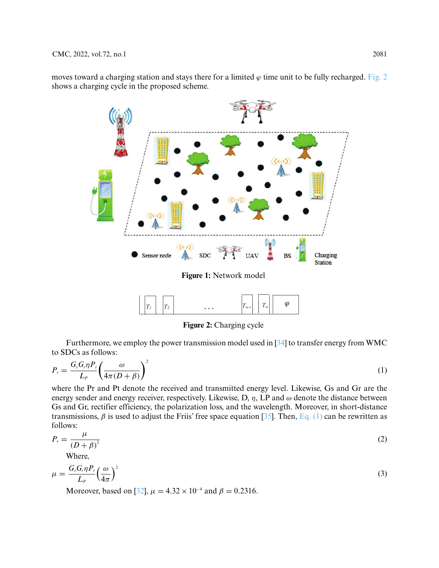moves toward a charging station and stays there for a limited  $\varphi$  time unit to be fully recharged. [Fig. 2](#page-4-1) shows a charging cycle in the proposed scheme.



**Figure 2:** Charging cycle

<span id="page-4-1"></span><span id="page-4-0"></span>Furthermore, we employ the power transmission model used in [\[34\]](#page-15-13) to transfer energy from WMC to SDCs as follows:

<span id="page-4-2"></span>
$$
P_r = \frac{G_s G_r \eta P_t}{L_P} \left(\frac{\omega}{4\pi (D+\beta)}\right)^2 \tag{1}
$$

where the Pr and Pt denote the received and transmitted energy level. Likewise, Gs and Gr are the energy sender and energy receiver, respectively. Likewise, D, *η*, LP and *ω* denote the distance between Gs and Gr, rectifier efficiency, the polarization loss, and the wavelength. Moreover, in short-distance transmissions,  $\beta$  is used to adjust the Friis' free space equation [\[35\]](#page-15-14). Then, [Eq. \(1\)](#page-4-2) can be rewritten as follows:

$$
P_r = \frac{\mu}{\left(D + \beta\right)^2} \tag{2}
$$

Where,

$$
\mu = \frac{G_s G_r \eta P_t}{L_P} \left(\frac{\omega}{4\pi}\right)^2 \tag{3}
$$

Moreover, based on [\[32\]](#page-15-11),  $\mu = 4.32 \times 10^{-4}$  and  $\beta = 0.2316$ .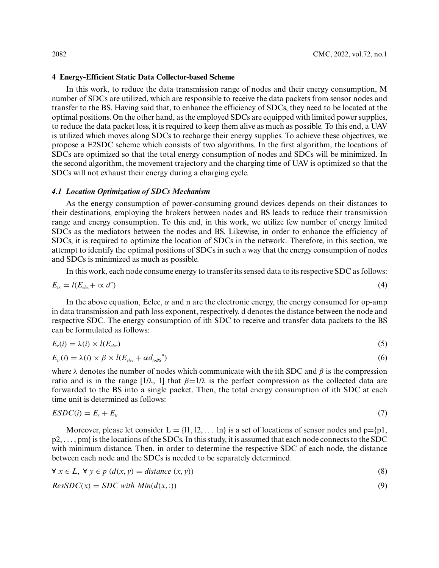## **4 Energy-Efficient Static Data Collector-based Scheme**

In this work, to reduce the data transmission range of nodes and their energy consumption, M number of SDCs are utilized, which are responsible to receive the data packets from sensor nodes and transfer to the BS. Having said that, to enhance the efficiency of SDCs, they need to be located at the optimal positions. On the other hand, as the employed SDCs are equipped with limited power supplies, to reduce the data packet loss, it is required to keep them alive as much as possible. To this end, a UAV is utilized which moves along SDCs to recharge their energy supplies. To achieve these objectives, we propose a E2SDC scheme which consists of two algorithms. In the first algorithm, the locations of SDCs are optimized so that the total energy consumption of nodes and SDCs will be minimized. In the second algorithm, the movement trajectory and the charging time of UAV is optimized so that the SDCs will not exhaust their energy during a charging cycle.

#### *4.1 Location Optimization of SDCs Mechanism*

As the energy consumption of power-consuming ground devices depends on their distances to their destinations, employing the brokers between nodes and BS leads to reduce their transmission range and energy consumption. To this end, in this work, we utilize few number of energy limited SDCs as the mediators between the nodes and BS. Likewise, in order to enhance the efficiency of SDCs, it is required to optimize the location of SDCs in the network. Therefore, in this section, we attempt to identify the optimal positions of SDCs in such a way that the energy consumption of nodes and SDCs is minimized as much as possible.

In this work, each node consume energy to transfer its sensed data to its respective SDC as follows:

$$
E_{tx} = l(E_{elec} + \propto d^n) \tag{4}
$$

In the above equation, Eelec,  $\alpha$  and n are the electronic energy, the energy consumed for op-amp in data transmission and path loss exponent, respectively. d denotes the distance between the node and respective SDC. The energy consumption of ith SDC to receive and transfer data packets to the BS can be formulated as follows:

$$
E_r(i) = \lambda(i) \times l(E_{elec}) \tag{5}
$$

$$
E_{ir}(i) = \lambda(i) \times \beta \times l(E_{elec} + \alpha d_{\iota bBS}^{n})
$$
\n
$$
(6)
$$

where  $\lambda$  denotes the number of nodes which communicate with the ith SDC and  $\beta$  is the compression ratio and is in the range  $[1/\lambda, 1]$  that  $\beta=1/\lambda$  is the perfect compression as the collected data are forwarded to the BS into a single packet. Then, the total energy consumption of ith SDC at each time unit is determined as follows:

$$
ESDC(i) = E_r + E_{tr} \tag{7}
$$

Moreover, please let consider  $L = \{11, 12, \dots \}$  is a set of locations of sensor nodes and  $p = \{p1, \dots \}$ p2, *...* , pm}is the locations of the SDCs. In this study, it is assumed that each node connects to the SDC with minimum distance. Then, in order to determine the respective SDC of each node, the distance between each node and the SDCs is needed to be separately determined.

$$
\forall x \in L, \forall y \in p \ (d(x, y) = distance(x, y)) \tag{8}
$$

<span id="page-5-0"></span>
$$
ResSDC(x) = SDC with Min(d(x, :))
$$
\n(9)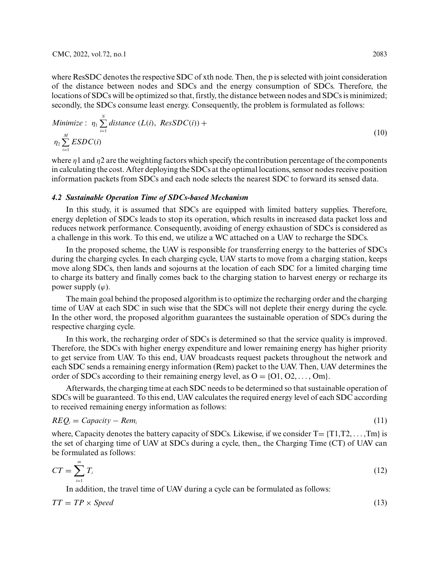where ResSDC denotes the respective SDC of xth node. Then, the p is selected with joint consideration of the distance between nodes and SDCs and the energy consumption of SDCs. Therefore, the locations of SDCs will be optimized so that, firstly, the distance between nodes and SDCs is minimized; secondly, the SDCs consume least energy. Consequently, the problem is formulated as follows:

Minimize: 
$$
\eta_1 \sum_{i=1}^{N} \text{distance} (L(i), \text{ResSDC}(i)) + \eta_2 \sum_{i=1}^{M} \text{ESDC}(i)
$$
 (10)

where *η*1 and *η*2 are the weighting factors which specify the contribution percentage of the components in calculating the cost. After deploying the SDCs at the optimal locations, sensor nodes receive position information packets from SDCs and each node selects the nearest SDC to forward its sensed data.

#### *4.2 Sustainable Operation Time of SDCs-based Mechanism*

In this study, it is assumed that SDCs are equipped with limited battery supplies. Therefore, energy depletion of SDCs leads to stop its operation, which results in increased data packet loss and reduces network performance. Consequently, avoiding of energy exhaustion of SDCs is considered as a challenge in this work. To this end, we utilize a WC attached on a UAV to recharge the SDCs.

In the proposed scheme, the UAV is responsible for transferring energy to the batteries of SDCs during the charging cycles. In each charging cycle, UAV starts to move from a charging station, keeps move along SDCs, then lands and sojourns at the location of each SDC for a limited charging time to charge its battery and finally comes back to the charging station to harvest energy or recharge its power supply  $(\varphi)$ .

The main goal behind the proposed algorithm is to optimize the recharging order and the charging time of UAV at each SDC in such wise that the SDCs will not deplete their energy during the cycle. In the other word, the proposed algorithm guarantees the sustainable operation of SDCs during the respective charging cycle.

In this work, the recharging order of SDCs is determined so that the service quality is improved. Therefore, the SDCs with higher energy expenditure and lower remaining energy has higher priority to get service from UAV. To this end, UAV broadcasts request packets throughout the network and each SDC sends a remaining energy information (Rem) packet to the UAV. Then, UAV determines the order of SDCs according to their remaining energy level, as  $O = \{O1, O2, \ldots, Om\}$ .

Afterwards, the charging time at each SDC needs to be determined so that sustainable operation of SDCs will be guaranteed. To this end, UAV calculates the required energy level of each SDC according to received remaining energy information as follows:

$$
REQ_i = Capacity - Rem_i \tag{11}
$$

where, Capacity denotes the battery capacity of SDCs. Likewise, if we consider  $T = \{T1, T2, \ldots, Tm\}$  is the set of charging time of UAV at SDCs during a cycle, then, the Charging Time (CT) of UAV can be formulated as follows:

$$
CT = \sum_{i=1}^{m} T_i \tag{12}
$$

In addition, the travel time of UAV during a cycle can be formulated as follows:

 $TT = TP \times Speed$  (13)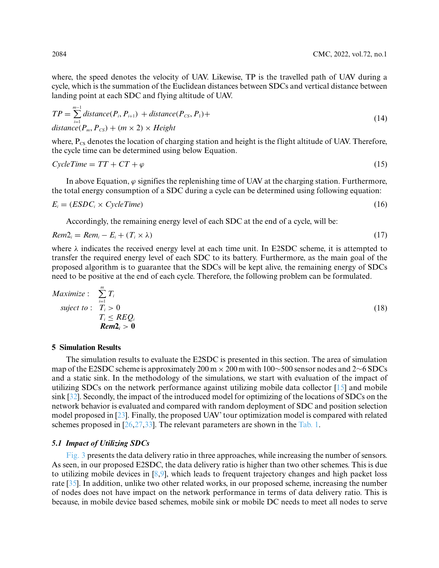where, the speed denotes the velocity of UAV. Likewise, TP is the travelled path of UAV during a cycle, which is the summation of the Euclidean distances between SDCs and vertical distance between landing point at each SDC and flying altitude of UAV.

$$
TP = \sum_{i=1}^{m-1} distance(P_i, P_{i+1}) + distance(P_{cs}, P_1) +
$$
  
distance $(P_m, P_{cs}) + (m \times 2) \times Height$  (14)

where,  $P_{CS}$  denotes the location of charging station and height is the flight altitude of UAV. Therefore, the cycle time can be determined using below Equation.

$$
CycleTime = TT + CT + \varphi \tag{15}
$$

In above Equation,  $\varphi$  signifies the replenishing time of UAV at the charging station. Furthermore, the total energy consumption of a SDC during a cycle can be determined using following equation:

$$
E_i = (ESDC_i \times CycleTime)
$$
\n
$$
(16)
$$

Accordingly, the remaining energy level of each SDC at the end of a cycle, will be:

$$
Rem2_i = Rem_i - E_i + (T_i \times \lambda) \tag{17}
$$

where  $\lambda$  indicates the received energy level at each time unit. In E2SDC scheme, it is attempted to transfer the required energy level of each SDC to its battery. Furthermore, as the main goal of the proposed algorithm is to guarantee that the SDCs will be kept alive, the remaining energy of SDCs need to be positive at the end of each cycle. Therefore, the following problem can be formulated.

$$
Maximize: \sum_{i=1}^{m} T_i
$$
  
subject to:  $T_i > 0$   
 $T_i \leq REQ_i$   
 $Rem2_i > 0$  (18)

#### **5 Simulation Results**

The simulation results to evaluate the E2SDC is presented in this section. The area of simulation map of the E2SDC scheme is approximately 200 m × 200 m with 100∼500 sensor nodes and 2∼6 SDCs and a static sink. In the methodology of the simulations, we start with evaluation of the impact of utilizing SDCs on the network performance against utilizing mobile data collector  $[15]$  and mobile sink [\[32\]](#page-15-11). Secondly, the impact of the introduced model for optimizing of the locations of SDCs on the network behavior is evaluated and compared with random deployment of SDC and position selection model proposed in [\[23\]](#page-15-3). Finally, the proposed UAV' tour optimization model is compared with related schemes proposed in  $[26,27,33]$  $[26,27,33]$  $[26,27,33]$ . The relevant parameters are shown in the [Tab. 1.](#page-8-0)

### *5.1 Impact of Utilizing SDCs*

[Fig. 3](#page-8-1) presents the data delivery ratio in three approaches, while increasing the number of sensors. As seen, in our proposed E2SDC, the data delivery ratio is higher than two other schemes. This is due to utilizing mobile devices in [\[8](#page-14-6)[,9\]](#page-14-13), which leads to frequent trajectory changes and high packet loss rate [\[35\]](#page-15-14). In addition, unlike two other related works, in our proposed scheme, increasing the number of nodes does not have impact on the network performance in terms of data delivery ratio. This is because, in mobile device based schemes, mobile sink or mobile DC needs to meet all nodes to serve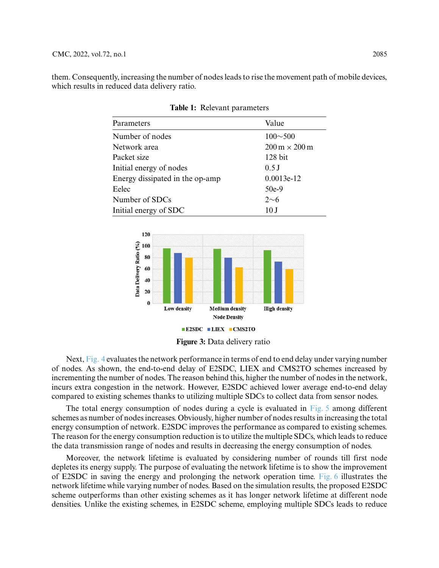<span id="page-8-0"></span>them. Consequently, increasing the number of nodes leads to rise the movement path of mobile devices, which results in reduced data delivery ratio.

| Parameters                      | Value                                      |
|---------------------------------|--------------------------------------------|
| Number of nodes                 | $100 \sim 500$                             |
| Network area                    | $200 \,\mathrm{m} \times 200 \,\mathrm{m}$ |
| Packet size                     | $128$ bit                                  |
| Initial energy of nodes         | $0.5$ J                                    |
| Energy dissipated in the op-amp | $0.0013e-12$                               |
| Eelec                           | $50e-9$                                    |
| Number of SDCs                  | $2\sim 6$                                  |
| Initial energy of SDC           | 10 J                                       |

**Table 1:** Relevant parameters





<span id="page-8-1"></span>Next, [Fig. 4](#page-9-0) evaluates the network performance in terms of end to end delay under varying number of nodes. As shown, the end-to-end delay of E2SDC, LIEX and CMS2TO schemes increased by incrementing the number of nodes. The reason behind this, higher the number of nodes in the network, incurs extra congestion in the network. However, E2SDC achieved lower average end-to-end delay compared to existing schemes thanks to utilizing multiple SDCs to collect data from sensor nodes.

The total energy consumption of nodes during a cycle is evaluated in  $Fig. 5$  among different schemes as number of nodes increases. Obviously, higher number of nodes results in increasing the total energy consumption of network. E2SDC improves the performance as compared to existing schemes. The reason for the energy consumption reduction is to utilize the multiple SDCs, which leads to reduce the data transmission range of nodes and results in decreasing the energy consumption of nodes.

Moreover, the network lifetime is evaluated by considering number of rounds till first node depletes its energy supply. The purpose of evaluating the network lifetime is to show the improvement of E2SDC in saving the energy and prolonging the network operation time. [Fig. 6](#page-9-2) illustrates the network lifetime while varying number of nodes. Based on the simulation results, the proposed E2SDC scheme outperforms than other existing schemes as it has longer network lifetime at different node densities. Unlike the existing schemes, in E2SDC scheme, employing multiple SDCs leads to reduce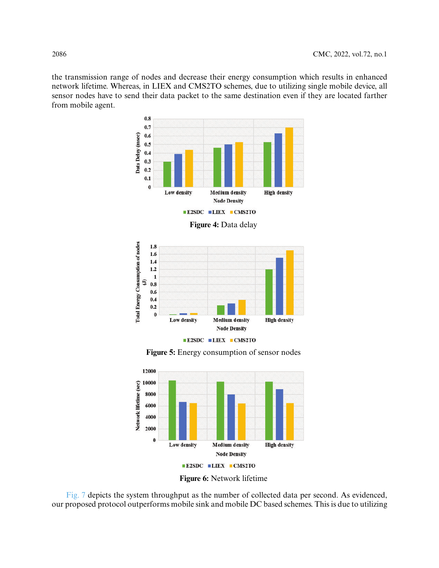the transmission range of nodes and decrease their energy consumption which results in enhanced network lifetime. Whereas, in LIEX and CMS2TO schemes, due to utilizing single mobile device, all sensor nodes have to send their data packet to the same destination even if they are located farther from mobile agent.

<span id="page-9-0"></span>

**Figure 5:** Energy consumption of sensor nodes

<span id="page-9-1"></span>

**Figure 6:** Network lifetime

<span id="page-9-2"></span>[Fig. 7](#page-10-0) depicts the system throughput as the number of collected data per second. As evidenced, our proposed protocol outperforms mobile sink and mobile DC based schemes. This is due to utilizing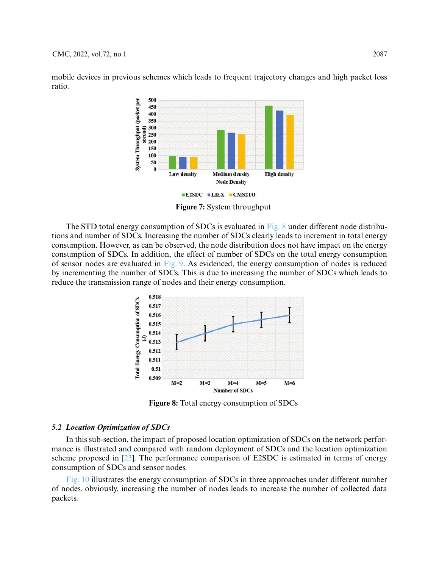mobile devices in previous schemes which leads to frequent trajectory changes and high packet loss ratio.



**Figure 7:** System throughput

<span id="page-10-0"></span>The STD total energy consumption of SDCs is evaluated in [Fig. 8](#page-10-1) under different node distributions and number of SDCs. Increasing the number of SDCs clearly leads to increment in total energy consumption. However, as can be observed, the node distribution does not have impact on the energy consumption of SDCs. In addition, the effect of number of SDCs on the total energy consumption of sensor nodes are evaluated in [Fig. 9.](#page-11-0) As evidenced, the energy consumption of nodes is reduced by incrementing the number of SDCs. This is due to increasing the number of SDCs which leads to reduce the transmission range of nodes and their energy consumption.



**Figure 8:** Total energy consumption of SDCs

#### <span id="page-10-1"></span>*5.2 Location Optimization of SDCs*

In this sub-section, the impact of proposed location optimization of SDCs on the network performance is illustrated and compared with random deployment of SDCs and the location optimization scheme proposed in [\[23\]](#page-15-3). The performance comparison of E2SDC is estimated in terms of energy consumption of SDCs and sensor nodes.

[Fig. 10](#page-11-1) illustrates the energy consumption of SDCs in three approaches under different number of nodes. obviously, increasing the number of nodes leads to increase the number of collected data packets.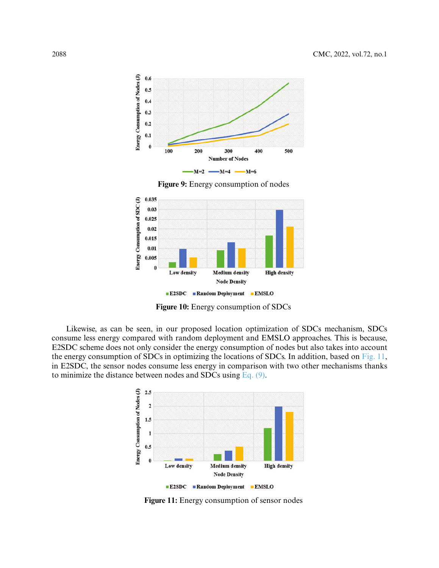

**Figure 9:** Energy consumption of nodes

<span id="page-11-0"></span>

**Figure 10:** Energy consumption of SDCs

<span id="page-11-1"></span>Likewise, as can be seen, in our proposed location optimization of SDCs mechanism, SDCs consume less energy compared with random deployment and EMSLO approaches. This is because, E2SDC scheme does not only consider the energy consumption of nodes but also takes into account the energy consumption of SDCs in optimizing the locations of SDCs. In addition, based on [Fig. 11,](#page-11-2) in E2SDC, the sensor nodes consume less energy in comparison with two other mechanisms thanks to minimize the distance between nodes and SDCs using [Eq. \(9\).](#page-5-0)



<span id="page-11-2"></span>**Figure 11:** Energy consumption of sensor nodes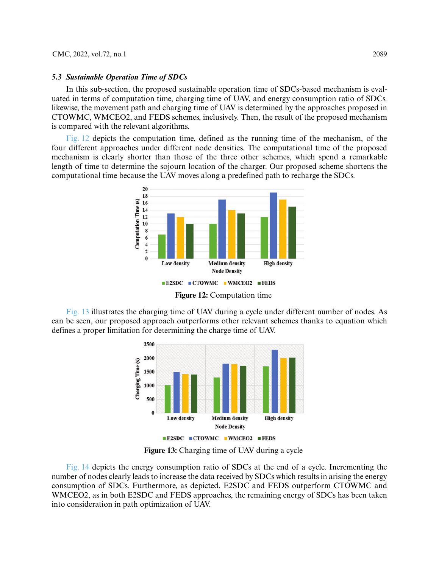#### *5.3 Sustainable Operation Time of SDCs*

In this sub-section, the proposed sustainable operation time of SDCs-based mechanism is evaluated in terms of computation time, charging time of UAV, and energy consumption ratio of SDCs. likewise, the movement path and charging time of UAV is determined by the approaches proposed in CTOWMC, WMCEO2, and FEDS schemes, inclusively. Then, the result of the proposed mechanism is compared with the relevant algorithms.

[Fig. 12](#page-12-0) depicts the computation time, defined as the running time of the mechanism, of the four different approaches under different node densities. The computational time of the proposed mechanism is clearly shorter than those of the three other schemes, which spend a remarkable length of time to determine the sojourn location of the charger. Our proposed scheme shortens the computational time because the UAV moves along a predefined path to recharge the SDCs.



**Figure 12:** Computation time

<span id="page-12-0"></span>[Fig. 13](#page-12-1) illustrates the charging time of UAV during a cycle under different number of nodes. As can be seen, our proposed approach outperforms other relevant schemes thanks to equation which defines a proper limitation for determining the charge time of UAV.



**Figure 13:** Charging time of UAV during a cycle

<span id="page-12-1"></span>[Fig. 14](#page-13-0) depicts the energy consumption ratio of SDCs at the end of a cycle. Incrementing the number of nodes clearly leads to increase the data received by SDCs which results in arising the energy consumption of SDCs. Furthermore, as depicted, E2SDC and FEDS outperform CTOWMC and WMCEO2, as in both E2SDC and FEDS approaches, the remaining energy of SDCs has been taken into consideration in path optimization of UAV.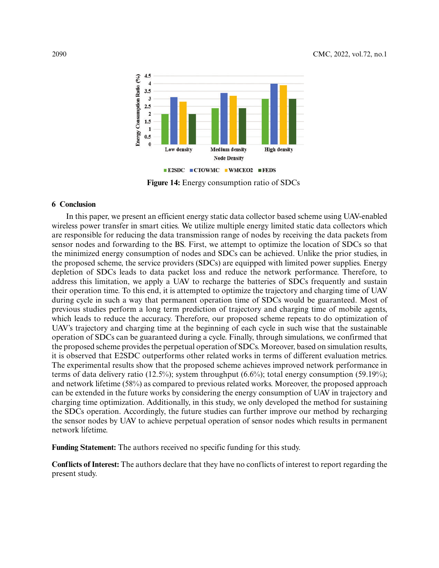

**Figure 14:** Energy consumption ratio of SDCs

## <span id="page-13-0"></span>**6 Conclusion**

In this paper, we present an efficient energy static data collector based scheme using UAV-enabled wireless power transfer in smart cities. We utilize multiple energy limited static data collectors which are responsible for reducing the data transmission range of nodes by receiving the data packets from sensor nodes and forwarding to the BS. First, we attempt to optimize the location of SDCs so that the minimized energy consumption of nodes and SDCs can be achieved. Unlike the prior studies, in the proposed scheme, the service providers (SDCs) are equipped with limited power supplies. Energy depletion of SDCs leads to data packet loss and reduce the network performance. Therefore, to address this limitation, we apply a UAV to recharge the batteries of SDCs frequently and sustain their operation time. To this end, it is attempted to optimize the trajectory and charging time of UAV during cycle in such a way that permanent operation time of SDCs would be guaranteed. Most of previous studies perform a long term prediction of trajectory and charging time of mobile agents, which leads to reduce the accuracy. Therefore, our proposed scheme repeats to do optimization of UAV's trajectory and charging time at the beginning of each cycle in such wise that the sustainable operation of SDCs can be guaranteed during a cycle. Finally, through simulations, we confirmed that the proposed scheme provides the perpetual operation of SDCs. Moreover, based on simulation results, it is observed that E2SDC outperforms other related works in terms of different evaluation metrics. The experimental results show that the proposed scheme achieves improved network performance in terms of data delivery ratio (12.5%); system throughput (6.6%); total energy consumption (59.19%); and network lifetime (58%) as compared to previous related works. Moreover, the proposed approach can be extended in the future works by considering the energy consumption of UAV in trajectory and charging time optimization. Additionally, in this study, we only developed the method for sustaining the SDCs operation. Accordingly, the future studies can further improve our method by recharging the sensor nodes by UAV to achieve perpetual operation of sensor nodes which results in permanent network lifetime.

**Funding Statement:** The authors received no specific funding for this study.

**Conflicts of Interest:** The authors declare that they have no conflicts of interest to report regarding the present study.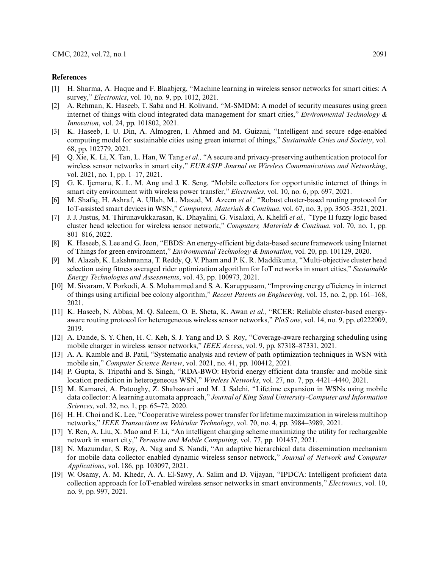#### **References**

- <span id="page-14-0"></span>[1] H. Sharma, A. Haque and F. Blaabjerg, "Machine learning in wireless sensor networks for smart cities: A survey," *Electronics*, vol. 10, no. 9, pp. 1012, 2021.
- [2] A. Rehman, K. Haseeb, T. Saba and H. Kolivand, "M-SMDM: A model of security measures using green internet of things with cloud integrated data management for smart cities," *Environmental Technology & Innovation*, vol. 24, pp. 101802, 2021.
- <span id="page-14-1"></span>[3] K. Haseeb, I. U. Din, A. Almogren, I. Ahmed and M. Guizani, "Intelligent and secure edge-enabled computing model for sustainable cities using green internet of things," *Sustainable Cities and Society*, vol. 68, pp. 102779, 2021.
- <span id="page-14-2"></span>[4] Q. Xie, K. Li, X. Tan, L. Han, W. Tang *et al.,* "A secure and privacy-preserving authentication protocol for wireless sensor networks in smart city," *EURASIP Journal on Wireless Communications and Networking*, vol. 2021, no. 1, pp. 1–17, 2021.
- <span id="page-14-3"></span>[5] G. K. Ijemaru, K. L. M. Ang and J. K. Seng, "Mobile collectors for opportunistic internet of things in smart city environment with wireless power transfer," *Electronics*, vol. 10, no. 6, pp. 697, 2021.
- <span id="page-14-4"></span>[6] M. Shafiq, H. Ashraf, A. Ullah, M., Masud, M. Azeem *et al.,* "Robust cluster-based routing protocol for IoT-assisted smart devices in WSN," *Computers, Materials & Continua*, vol. 67, no. 3, pp. 3505–3521, 2021.
- <span id="page-14-5"></span>[7] J. J. Justus, M. Thirunavukkarasan, K. Dhayalini, G. Visalaxi, A. Khelifi *et al., "*Type II fuzzy logic based cluster head selection for wireless sensor network," *Computers, Materials & Continua*, vol. 70, no. 1, pp. 801–816, 2022.
- <span id="page-14-6"></span>[8] K. Haseeb, S. Lee and G. Jeon, "EBDS: An energy-efficient big data-based secure framework using Internet of Things for green environment," *Environmental Technology & Innovation*, vol. 20, pp. 101129, 2020.
- <span id="page-14-13"></span>[9] M. Alazab, K. Lakshmanna, T. Reddy, Q. V. Pham and P. K. R. Maddikunta, "Multi-objective cluster head selection using fitness averaged rider optimization algorithm for IoT networks in smart cities," *Sustainable Energy Technologies and Assessments*, vol. 43, pp. 100973, 2021.
- [10] M. Sivaram, V. Porkodi, A. S. Mohammed and S. A. Karuppusam, "Improving energy efficiency in internet of things using artificial bee colony algorithm," *Recent Patents on Engineering*, vol. 15, no. 2, pp. 161–168, 2021.
- <span id="page-14-7"></span>[11] K. Haseeb, N. Abbas, M. Q. Saleem, O. E. Sheta, K. Awan *et al.,* "RCER: Reliable cluster-based energyaware routing protocol for heterogeneous wireless sensor networks,"*PloS one*, vol. 14, no. 9, pp. e0222009, 2019.
- <span id="page-14-8"></span>[12] A. Dande, S. Y. Chen, H. C. Keh, S. J. Yang and D. S. Roy, "Coverage-aware recharging scheduling using mobile charger in wireless sensor networks," *IEEE Access*, vol. 9, pp. 87318–87331, 2021.
- [13] A. A. Kamble and B. Patil, "Systematic analysis and review of path optimization techniques in WSN with mobile sin," *Computer Science Review*, vol. 2021, no. 41, pp. 100412, 2021.
- [14] P. Gupta, S. Tripathi and S. Singh, "RDA-BWO: Hybrid energy efficient data transfer and mobile sink location prediction in heterogeneous WSN," *Wireless Networks*, vol. 27, no. 7, pp. 4421–4440, 2021.
- <span id="page-14-10"></span>[15] M. Kamarei, A. Patooghy, Z. Shahsavari and M. J. Salehi, "Lifetime expansion in WSNs using mobile data collector: A learning automata approach," *Journal of King Saud University-Computer and Information Sciences*, vol. 32, no. 1, pp. 65–72, 2020.
- [16] H. H. Choi and K. Lee, "Cooperative wireless power transfer for lifetime maximization in wireless multihop networks," *IEEE Transactions on Vehicular Technology*, vol. 70, no. 4, pp. 3984–3989, 2021.
- <span id="page-14-9"></span>[17] Y. Ren, A. Liu, X. Mao and F. Li, "An intelligent charging scheme maximizing the utility for rechargeable network in smart city," *Pervasive and Mobile Computing*, vol. 77, pp. 101457, 2021.
- <span id="page-14-11"></span>[18] N. Mazumdar, S. Roy, A. Nag and S. Nandi, "An adaptive hierarchical data dissemination mechanism for mobile data collector enabled dynamic wireless sensor network," *Journal of Network and Computer Applications*, vol. 186, pp. 103097, 2021.
- <span id="page-14-12"></span>[19] W. Osamy, A. M. Khedr, A. A. El-Sawy, A. Salim and D. Vijayan, "IPDCA: Intelligent proficient data collection approach for IoT-enabled wireless sensor networks in smart environments," *Electronics*, vol. 10, no. 9, pp. 997, 2021.